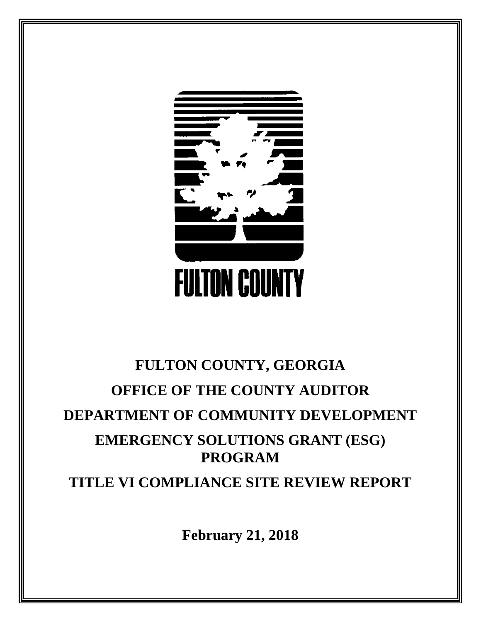

# **FULTON COUNTY, GEORGIA OFFICE OF THE COUNTY AUDITOR DEPARTMENT OF COMMUNITY DEVELOPMENT EMERGENCY SOLUTIONS GRANT (ESG) PROGRAM TITLE VI COMPLIANCE SITE REVIEW REPORT**

**February 21, 2018**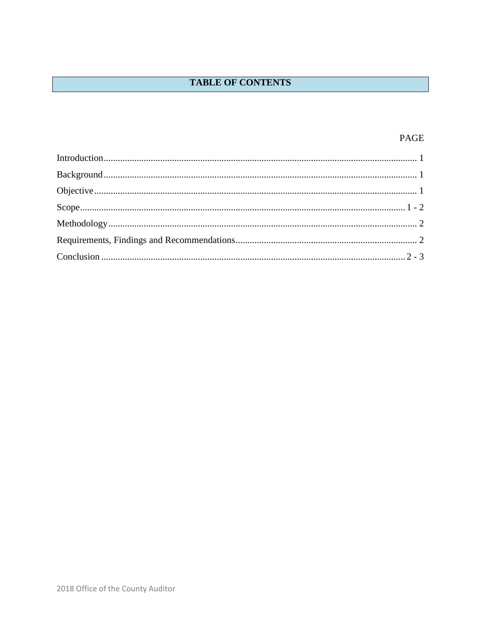## **TABLE OF CONTENTS**

## PAGE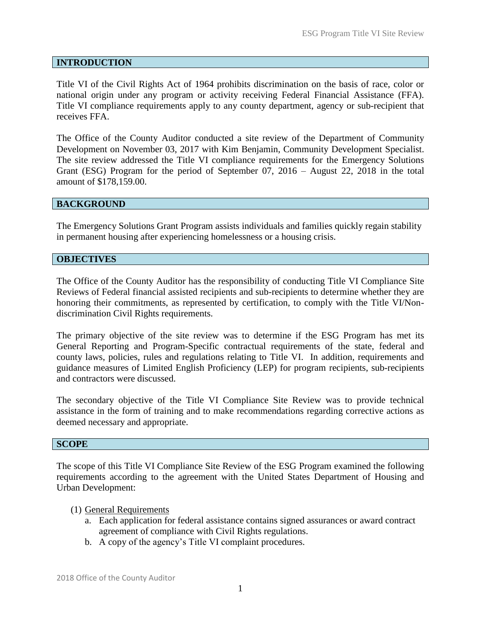## <span id="page-2-0"></span>**INTRODUCTION**

Title VI of the Civil Rights Act of 1964 prohibits discrimination on the basis of race, color or national origin under any program or activity receiving Federal Financial Assistance (FFA). Title VI compliance requirements apply to any county department, agency or sub-recipient that receives FFA.

The Office of the County Auditor conducted a site review of the Department of Community Development on November 03, 2017 with Kim Benjamin, Community Development Specialist. The site review addressed the Title VI compliance requirements for the Emergency Solutions Grant (ESG) Program for the period of September 07, 2016 – August 22, 2018 in the total amount of \$178,159.00.

## <span id="page-2-1"></span>**BACKGROUND**

The Emergency Solutions Grant Program assists individuals and families quickly regain stability in permanent housing after experiencing homelessness or a housing crisis.

#### <span id="page-2-2"></span>**OBJECTIVES**

The Office of the County Auditor has the responsibility of conducting Title VI Compliance Site Reviews of Federal financial assisted recipients and sub-recipients to determine whether they are honoring their commitments, as represented by certification, to comply with the Title VI/Nondiscrimination Civil Rights requirements.

The primary objective of the site review was to determine if the ESG Program has met its General Reporting and Program-Specific contractual requirements of the state, federal and county laws, policies, rules and regulations relating to Title VI. In addition, requirements and guidance measures of Limited English Proficiency (LEP) for program recipients, sub-recipients and contractors were discussed.

The secondary objective of the Title VI Compliance Site Review was to provide technical assistance in the form of training and to make recommendations regarding corrective actions as deemed necessary and appropriate.

#### <span id="page-2-3"></span>**SCOPE**

The scope of this Title VI Compliance Site Review of the ESG Program examined the following requirements according to the agreement with the United States Department of Housing and Urban Development:

## (1) General Requirements

- a. Each application for federal assistance contains signed assurances or award contract agreement of compliance with Civil Rights regulations.
- b. A copy of the agency's Title VI complaint procedures.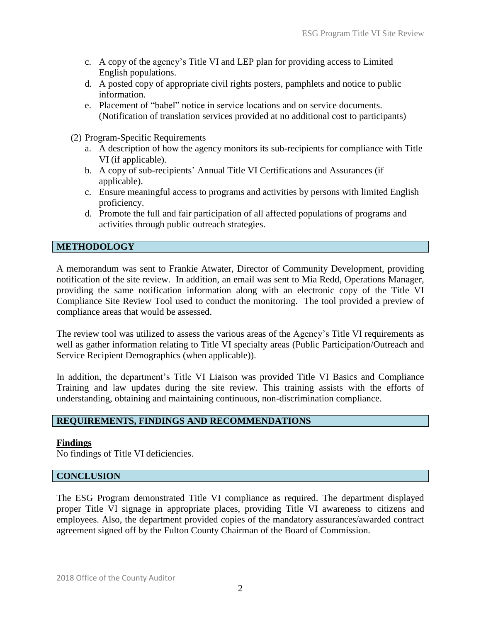- c. A copy of the agency's Title VI and LEP plan for providing access to Limited English populations.
- d. A posted copy of appropriate civil rights posters, pamphlets and notice to public information.
- e. Placement of "babel" notice in service locations and on service documents. (Notification of translation services provided at no additional cost to participants)
- (2) Program-Specific Requirements
	- a. A description of how the agency monitors its sub-recipients for compliance with Title VI (if applicable).
	- b. A copy of sub-recipients' Annual Title VI Certifications and Assurances (if applicable).
	- c. Ensure meaningful access to programs and activities by persons with limited English proficiency.
	- d. Promote the full and fair participation of all affected populations of programs and activities through public outreach strategies.

## **METHODOLOGY**

A memorandum was sent to Frankie Atwater, Director of Community Development, providing notification of the site review. In addition, an email was sent to Mia Redd, Operations Manager, providing the same notification information along with an electronic copy of the Title VI Compliance Site Review Tool used to conduct the monitoring. The tool provided a preview of compliance areas that would be assessed.

The review tool was utilized to assess the various areas of the Agency's Title VI requirements as well as gather information relating to Title VI specialty areas (Public Participation/Outreach and Service Recipient Demographics (when applicable)).

In addition, the department's Title VI Liaison was provided Title VI Basics and Compliance Training and law updates during the site review. This training assists with the efforts of understanding, obtaining and maintaining continuous, non-discrimination compliance.

## **REQUIREMENTS, FINDINGS AND RECOMMENDATIONS**

## **Findings**

No findings of Title VI deficiencies.

## <span id="page-3-0"></span>**CONCLUSION**

The ESG Program demonstrated Title VI compliance as required. The department displayed proper Title VI signage in appropriate places, providing Title VI awareness to citizens and employees. Also, the department provided copies of the mandatory assurances/awarded contract agreement signed off by the Fulton County Chairman of the Board of Commission.